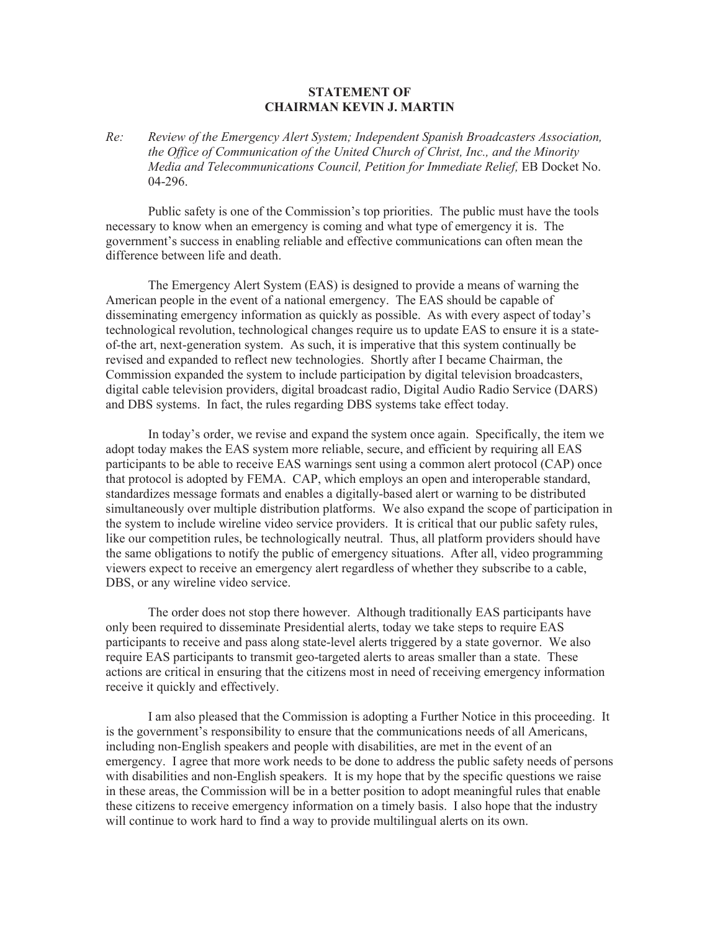## **STATEMENT OF CHAIRMAN KEVIN J. MARTIN**

*Re: Review of the Emergency Alert System; Independent Spanish Broadcasters Association, the Office of Communication of the United Church of Christ, Inc., and the Minority Media and Telecommunications Council, Petition for Immediate Relief,* EB Docket No. 04-296.

Public safety is one of the Commission's top priorities. The public must have the tools necessary to know when an emergency is coming and what type of emergency it is. The government's success in enabling reliable and effective communications can often mean the difference between life and death.

The Emergency Alert System (EAS) is designed to provide a means of warning the American people in the event of a national emergency. The EAS should be capable of disseminating emergency information as quickly as possible. As with every aspect of today's technological revolution, technological changes require us to update EAS to ensure it is a stateof-the art, next-generation system. As such, it is imperative that this system continually be revised and expanded to reflect new technologies. Shortly after I became Chairman, the Commission expanded the system to include participation by digital television broadcasters, digital cable television providers, digital broadcast radio, Digital Audio Radio Service (DARS) and DBS systems. In fact, the rules regarding DBS systems take effect today.

In today's order, we revise and expand the system once again. Specifically, the item we adopt today makes the EAS system more reliable, secure, and efficient by requiring all EAS participants to be able to receive EAS warnings sent using a common alert protocol (CAP) once that protocol is adopted by FEMA. CAP, which employs an open and interoperable standard, standardizes message formats and enables a digitally-based alert or warning to be distributed simultaneously over multiple distribution platforms. We also expand the scope of participation in the system to include wireline video service providers. It is critical that our public safety rules, like our competition rules, be technologically neutral. Thus, all platform providers should have the same obligations to notify the public of emergency situations. After all, video programming viewers expect to receive an emergency alert regardless of whether they subscribe to a cable, DBS, or any wireline video service.

The order does not stop there however. Although traditionally EAS participants have only been required to disseminate Presidential alerts, today we take steps to require EAS participants to receive and pass along state-level alerts triggered by a state governor. We also require EAS participants to transmit geo-targeted alerts to areas smaller than a state. These actions are critical in ensuring that the citizens most in need of receiving emergency information receive it quickly and effectively.

I am also pleased that the Commission is adopting a Further Notice in this proceeding. It is the government's responsibility to ensure that the communications needs of all Americans, including non-English speakers and people with disabilities, are met in the event of an emergency. I agree that more work needs to be done to address the public safety needs of persons with disabilities and non-English speakers. It is my hope that by the specific questions we raise in these areas, the Commission will be in a better position to adopt meaningful rules that enable these citizens to receive emergency information on a timely basis. I also hope that the industry will continue to work hard to find a way to provide multilingual alerts on its own.